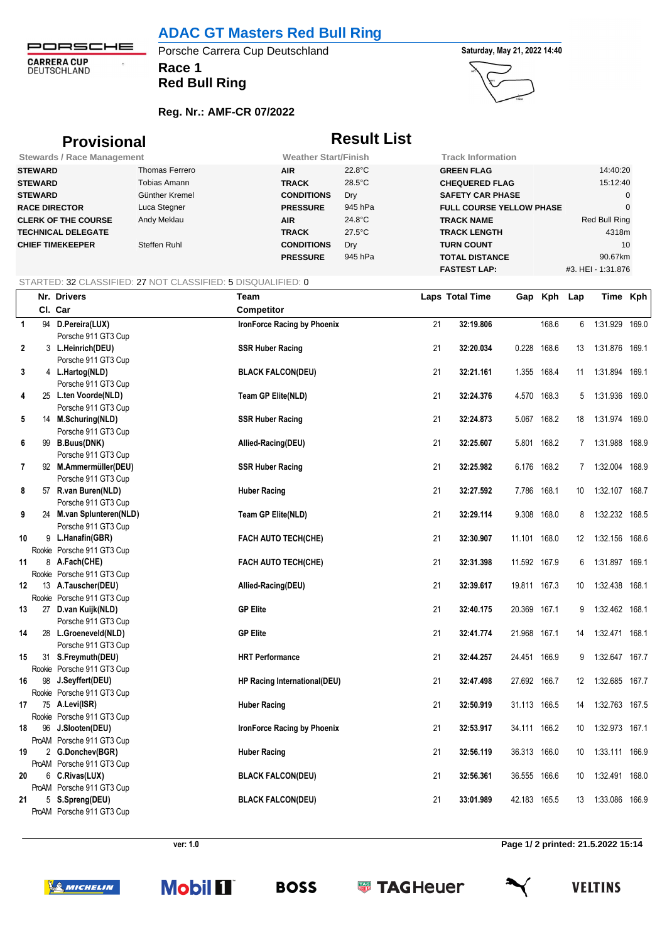# **ADAC GT Masters Red Bull Ring**

PORSCHE **CARRERA CUP**<br>DEUTSCHLAND

 $\hat{\mathcal{D}}$ 

# **Race 1** Porsche Carrera Cup Deutschland **Saturday**, May 21, 2022 14:40

**Red Bull Ring**

## **Reg. Nr.: AMF-CR 07/2022**





# **Provisional Result List**

| <b>Stewards / Race Management</b> |                | <b>Weather Start/Finish</b> |                  | <b>Track Information</b>        |                    |
|-----------------------------------|----------------|-----------------------------|------------------|---------------------------------|--------------------|
| <b>STEWARD</b>                    | Thomas Ferrero | <b>AIR</b>                  | $22.8^{\circ}$ C | <b>GREEN FLAG</b>               | 14:40:20           |
| <b>STEWARD</b>                    | Tobias Amann   | <b>TRACK</b>                | $28.5^{\circ}$ C | <b>CHEQUERED FLAG</b>           | 15:12:40           |
| <b>STEWARD</b>                    | Günther Kremel | <b>CONDITIONS</b>           | Dry              | <b>SAFETY CAR PHASE</b>         |                    |
| <b>RACE DIRECTOR</b>              | Luca Stegner   | <b>PRESSURE</b>             | 945 hPa          | <b>FULL COURSE YELLOW PHASE</b> |                    |
| <b>CLERK OF THE COURSE</b>        | Andy Meklau    | <b>AIR</b>                  | $24.8^{\circ}$ C | <b>TRACK NAME</b>               | Red Bull Ring      |
| <b>TECHNICAL DELEGATE</b>         |                | <b>TRACK</b>                | $27.5^{\circ}$ C | <b>TRACK LENGTH</b>             | 4318m              |
| <b>CHIEF TIMEKEEPER</b>           | Steffen Ruhl   | <b>CONDITIONS</b>           | Dry              | <b>TURN COUNT</b>               | 10                 |
|                                   |                | <b>PRESSURE</b>             | 945 hPa          | <b>TOTAL DISTANCE</b>           | 90.67km            |
|                                   |                |                             |                  | <b>FASTEST LAP:</b>             | #3. HEI - 1:31.876 |

### STARTED: 32 CLASSIFIED: 27 NOT CLASSIFIED: 5 DISQUALIFIED: 0

|                | Nr. Drivers                                 | Team                               |    | <b>Laps Total Time</b> |              | Gap Kph | Lap             | Time Kph          |  |
|----------------|---------------------------------------------|------------------------------------|----|------------------------|--------------|---------|-----------------|-------------------|--|
|                | CI. Car                                     | Competitor                         |    |                        |              |         |                 |                   |  |
| $\overline{1}$ | 94 D.Pereira(LUX)                           | IronForce Racing by Phoenix        | 21 | 32:19.806              |              | 168.6   | 6               | 1:31.929 169.0    |  |
|                | Porsche 911 GT3 Cup                         |                                    |    |                        |              |         |                 |                   |  |
| $\mathbf{2}$   | 3 L.Heinrich(DEU)                           | <b>SSR Huber Racing</b>            | 21 | 32:20.034              | 0.228 168.6  |         | 13              | 1:31.876 169.1    |  |
|                | Porsche 911 GT3 Cup                         |                                    |    |                        |              |         |                 |                   |  |
| 3              | 4 L.Hartog(NLD)                             | <b>BLACK FALCON(DEU)</b>           | 21 | 32:21.161              | 1.355 168.4  |         | 11              | 1:31.894 169.1    |  |
|                | Porsche 911 GT3 Cup                         |                                    |    |                        |              |         |                 |                   |  |
| 4              | 25 L.ten Voorde(NLD)                        | <b>Team GP Elite(NLD)</b>          | 21 | 32:24.376              | 4.570 168.3  |         | 5               | 1:31.936 169.0    |  |
|                | Porsche 911 GT3 Cup                         |                                    |    |                        |              |         |                 |                   |  |
| 5              | 14 M.Schuring(NLD)                          | <b>SSR Huber Racing</b>            | 21 | 32:24.873              | 5.067 168.2  |         | 18              | 1:31.974 169.0    |  |
|                | Porsche 911 GT3 Cup                         |                                    |    |                        |              |         |                 |                   |  |
| 6              | 99 B.Buus(DNK)                              | Allied-Racing(DEU)                 | 21 | 32:25.607              | 5.801 168.2  |         |                 | 7 1:31.988 168.9  |  |
|                | Porsche 911 GT3 Cup                         |                                    |    |                        |              |         |                 |                   |  |
| 7              | 92 M.Ammermüller(DEU)                       | <b>SSR Huber Racing</b>            | 21 | 32:25.982              | 6.176 168.2  |         |                 | 7 1:32.004 168.9  |  |
|                | Porsche 911 GT3 Cup                         |                                    |    |                        |              |         |                 |                   |  |
| 8              | 57 R.van Buren(NLD)                         | <b>Huber Racing</b>                | 21 | 32:27.592              | 7.786 168.1  |         | 10              | 1:32.107 168.7    |  |
|                | Porsche 911 GT3 Cup                         |                                    |    |                        |              |         |                 |                   |  |
| 9              | 24 M.van Splunteren(NLD)                    | <b>Team GP Elite(NLD)</b>          | 21 | 32:29.114              | 9.308 168.0  |         | 8               | 1:32.232 168.5    |  |
|                | Porsche 911 GT3 Cup                         |                                    |    |                        |              |         |                 |                   |  |
| 10             | 9 L.Hanafin(GBR)                            | FACH AUTO TECH(CHE)                | 21 | 32:30.907              | 11.101 168.0 |         |                 | 12 1:32.156 168.6 |  |
|                | Rookie Porsche 911 GT3 Cup                  |                                    |    |                        |              |         |                 |                   |  |
| 11             | 8 A.Fach(CHE)                               | <b>FACH AUTO TECH(CHE)</b>         | 21 | 32:31.398              | 11.592 167.9 |         | 6               | 1:31.897 169.1    |  |
|                | Rookie Porsche 911 GT3 Cup                  |                                    |    |                        |              |         |                 |                   |  |
| 12             | 13 A.Tauscher(DEU)                          | Allied-Racing(DEU)                 | 21 | 32:39.617              | 19.811 167.3 |         | 10              | 1:32.438 168.1    |  |
|                | Rookie Porsche 911 GT3 Cup                  |                                    |    |                        |              |         |                 |                   |  |
| 13             | 27 D.van Kuijk(NLD)                         | <b>GP Elite</b>                    | 21 | 32:40.175              | 20.369 167.1 |         | 9               | 1:32.462 168.1    |  |
|                | Porsche 911 GT3 Cup<br>28 L.Groeneveld(NLD) | <b>GP Elite</b>                    | 21 |                        |              |         |                 |                   |  |
| 14             |                                             |                                    |    | 32:41.774              | 21.968 167.1 |         | 14              | 1:32.471 168.1    |  |
| 15             | Porsche 911 GT3 Cup<br>31 S.Freymuth(DEU)   | <b>HRT Performance</b>             | 21 | 32:44.257              | 24.451 166.9 |         | 9               | 1:32.647 167.7    |  |
|                | Rookie Porsche 911 GT3 Cup                  |                                    |    |                        |              |         |                 |                   |  |
| 16             | 98 J.Seyffert(DEU)                          | HP Racing International(DEU)       | 21 | 32:47.498              | 27.692 166.7 |         | 12              | 1:32.685 167.7    |  |
|                | Rookie Porsche 911 GT3 Cup                  |                                    |    |                        |              |         |                 |                   |  |
| 17             | 75 A.Levi(ISR)                              | <b>Huber Racing</b>                | 21 | 32:50.919              | 31.113 166.5 |         | 14              | 1:32.763 167.5    |  |
|                | Rookie Porsche 911 GT3 Cup                  |                                    |    |                        |              |         |                 |                   |  |
| 18             | 96 J.Slooten(DEU)                           | <b>IronForce Racing by Phoenix</b> | 21 | 32:53.917              | 34.111 166.2 |         | 10 <sup>°</sup> | 1:32.973 167.1    |  |
|                | ProAM Porsche 911 GT3 Cup                   |                                    |    |                        |              |         |                 |                   |  |
| 19             | 2 G.Donchev(BGR)                            | <b>Huber Racing</b>                | 21 | 32:56.119              | 36.313 166.0 |         | 10              | 1:33.111 166.9    |  |
|                | ProAM Porsche 911 GT3 Cup                   |                                    |    |                        |              |         |                 |                   |  |
| 20             | 6 C.Rivas(LUX)                              | <b>BLACK FALCON(DEU)</b>           | 21 | 32:56.361              | 36.555 166.6 |         | 10              | 1:32.491 168.0    |  |
|                | ProAM Porsche 911 GT3 Cup                   |                                    |    |                        |              |         |                 |                   |  |
| 21             | 5 S.Spreng(DEU)                             | <b>BLACK FALCON(DEU)</b>           | 21 | 33:01.989              | 42.183 165.5 |         | 13              | 1:33.086 166.9    |  |
|                | ProAM Porsche 911 GT3 Cup                   |                                    |    |                        |              |         |                 |                   |  |

**ver: 1.0 Page 1/ 2 printed: 21.5.2022 15:14**

**VELTINS**